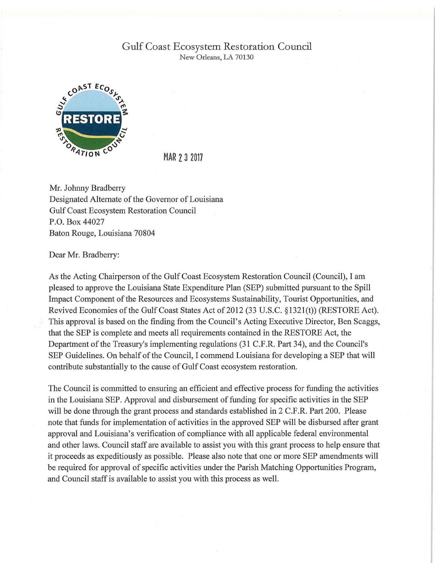## Gulf Coast Ecosystem Restoration Council New Orleans, LA 70130



MAR 2 3 2017

Mr. Johnny Bradberry Designated Alternate of the Governor of Louisiana Gulf Coast Ecosystem Restoration Council P.O. Box 44027 Baton Rouge, Louisiana 70804

Dear Mr. Bradberry:

As the Acting Chairperson of the Gulf Coast Ecosystem Restoration Council (Council), I am pleased to approve the Louisiana State Expenditure Plan (SEP) submitted pursuant to the Spill Impact Component of the Resources and Ecosystems Sustainability, Tourist Opportunities, and Revived Economies of the Gulf Coast States Act of 2012 (33 U.S.C. §1321(t)) (RESTORE Act). This approval is based on the finding from the Council's Acting Executive Director, Ben Scaggs, that the SEP is complete and meets all requirements contained in the RESTORE Act, the Department of the Treasury's implementing regulations (31 C.F.R. Part 34), and the Council's SEP Guidelines. On behalf of the Council, I commend Louisiana for developing a SEP that will contribute substantially to the cause of Gulf Coast ecosystem restoration.

The Council is committed to ensuring an efficient and effective process for funding the activities in the Louisiana SEP. Approval and disbursement of funding for specific activities in the SEP will be done through the grant process and standards established in 2 C.F.R. Part 200. Please note that funds for implementation of activities in the approved SEP will be disbursed after grant approval and Louisiana's verification of compliance with all applicable federal environmental and other laws. Council staff are available to assist you with this grant process to help ensure that it proceeds as expeditiously as possible. Please also note that one or more SEP amendments will be required for approval of specific activities under the Parish Matching Opportunities Program, and Council staff is available to assist you with this process as well.